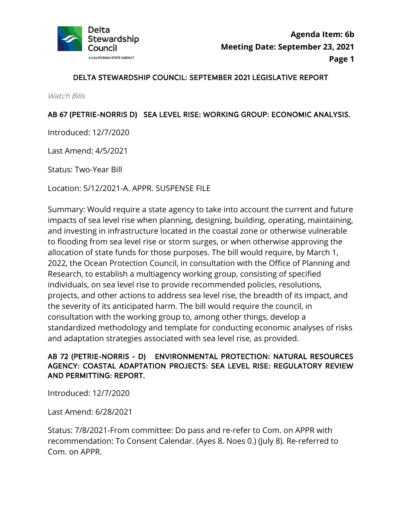

#### DELTA STEWARDSHIP COUNCIL: SEPTEMBER 2021 LEGISLATIVE REPORT

Watch Bills

#### AB 67 (PETRIE-NORRIS D) SEA LEVEL RISE: WORKING GROUP: ECONOMIC ANALYSIS.

Introduced: 12/7/2020

Last Amend: 4/5/2021

Status: Two-Year Bill

Location: 5/12/2021-A. APPR. SUSPENSE FILE

Summary: Would require a state agency to take into account the current and future impacts of sea level rise when planning, designing, building, operating, maintaining, and investing in infrastructure located in the coastal zone or otherwise vulnerable to flooding from sea level rise or storm surges, or when otherwise approving the allocation of state funds for those purposes. The bill would require, by March 1, 2022, the Ocean Protection Council, in consultation with the Office of Planning and Research, to establish a multiagency working group, consisting of specified individuals, on sea level rise to provide recommended policies, resolutions, projects, and other actions to address sea level rise, the breadth of its impact, and the severity of its anticipated harm. The bill would require the council, in consultation with the working group to, among other things, develop a standardized methodology and template for conducting economic analyses of risks and adaptation strategies associated with sea level rise, as provided.

### AB 72 (PETRIE-NORRIS - D) ENVIRONMENTAL PROTECTION: NATURAL RESOURCES AGENCY: COASTAL ADAPTATION PROJECTS: SEA LEVEL RISE: REGULATORY REVIEW AND PERMITTING: REPORT.

Introduced: 12/7/2020

Last Amend: 6/28/2021

Status: 7/8/2021-From committee: Do pass and re-refer to Com. on APPR with recommendation: To Consent Calendar. (Ayes 8. Noes 0.) (July 8). Re-referred to Com. on APPR.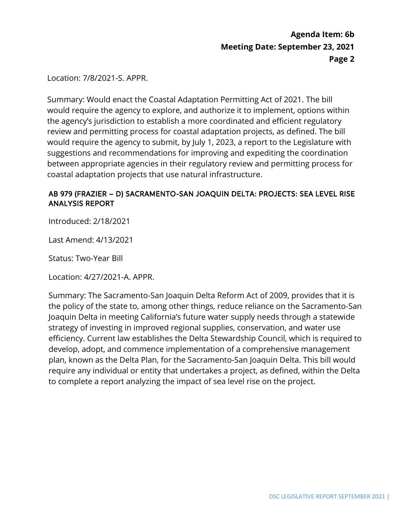Location: 7/8/2021-S. APPR.

Summary: Would enact the Coastal Adaptation Permitting Act of 2021. The bill would require the agency to explore, and authorize it to implement, options within the agency's jurisdiction to establish a more coordinated and efficient regulatory review and permitting process for coastal adaptation projects, as defined. The bill would require the agency to submit, by July 1, 2023, a report to the Legislature with suggestions and recommendations for improving and expediting the coordination between appropriate agencies in their regulatory review and permitting process for coastal adaptation projects that use natural infrastructure.

#### AB 979 (FRAZIER – D) SACRAMENTO-SAN JOAQUIN DELTA: PROJECTS: SEA LEVEL RISE ANALYSIS REPORT

Introduced: 2/18/2021

Last Amend: 4/13/2021

Status: Two-Year Bill

Location: 4/27/2021-A. APPR.

Summary: The Sacramento-San Joaquin Delta Reform Act of 2009, provides that it is the policy of the state to, among other things, reduce reliance on the Sacramento-San Joaquin Delta in meeting California's future water supply needs through a statewide strategy of investing in improved regional supplies, conservation, and water use efficiency. Current law establishes the Delta Stewardship Council, which is required to develop, adopt, and commence implementation of a comprehensive management plan, known as the Delta Plan, for the Sacramento-San Joaquin Delta. This bill would require any individual or entity that undertakes a project, as defined, within the Delta to complete a report analyzing the impact of sea level rise on the project.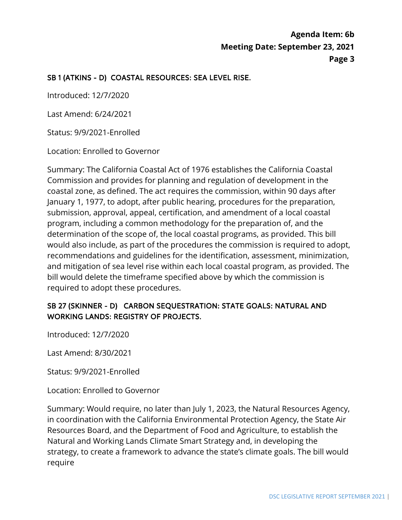## SB 1 (ATKINS - D) COASTAL RESOURCES: SEA LEVEL RISE.

Introduced: 12/7/2020

Last Amend: 6/24/2021

Status: 9/9/2021-Enrolled

Location: Enrolled to Governor

Summary: The California Coastal Act of 1976 establishes the California Coastal Commission and provides for planning and regulation of development in the coastal zone, as defined. The act requires the commission, within 90 days after January 1, 1977, to adopt, after public hearing, procedures for the preparation, submission, approval, appeal, certification, and amendment of a local coastal program, including a common methodology for the preparation of, and the determination of the scope of, the local coastal programs, as provided. This bill would also include, as part of the procedures the commission is required to adopt, recommendations and guidelines for the identification, assessment, minimization, and mitigation of sea level rise within each local coastal program, as provided. The bill would delete the timeframe specified above by which the commission is required to adopt these procedures.

### SB 27 (SKINNER - D) CARBON SEQUESTRATION: STATE GOALS: NATURAL AND WORKING LANDS: REGISTRY OF PROJECTS.

Introduced: 12/7/2020

Last Amend: 8/30/2021

Status: 9/9/2021-Enrolled

Location: Enrolled to Governor

Summary: Would require, no later than July 1, 2023, the Natural Resources Agency, in coordination with the California Environmental Protection Agency, the State Air Resources Board, and the Department of Food and Agriculture, to establish the Natural and Working Lands Climate Smart Strategy and, in developing the strategy, to create a framework to advance the state's climate goals. The bill would require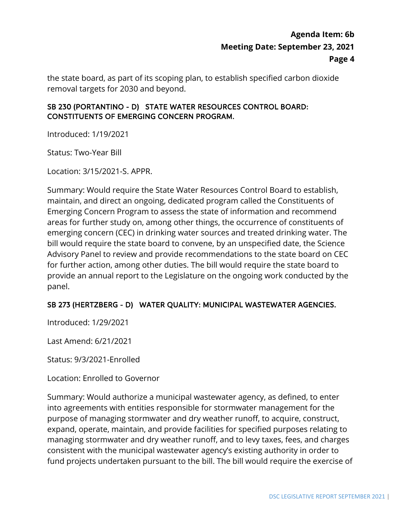the state board, as part of its scoping plan, to establish specified carbon dioxide removal targets for 2030 and beyond.

### SB 230 (PORTANTINO - D) STATE WATER RESOURCES CONTROL BOARD: CONSTITUENTS OF EMERGING CONCERN PROGRAM.

Introduced: 1/19/2021

Status: Two-Year Bill

Location: 3/15/2021-S. APPR.

Summary: Would require the State Water Resources Control Board to establish, maintain, and direct an ongoing, dedicated program called the Constituents of Emerging Concern Program to assess the state of information and recommend areas for further study on, among other things, the occurrence of constituents of emerging concern (CEC) in drinking water sources and treated drinking water. The bill would require the state board to convene, by an unspecified date, the Science Advisory Panel to review and provide recommendations to the state board on CEC for further action, among other duties. The bill would require the state board to provide an annual report to the Legislature on the ongoing work conducted by the panel.

#### SB 273 (HERTZBERG - D) WATER QUALITY: MUNICIPAL WASTEWATER AGENCIES.

Introduced: 1/29/2021

Last Amend: 6/21/2021

Status: 9/3/2021-Enrolled

Location: Enrolled to Governor

Summary: Would authorize a municipal wastewater agency, as defined, to enter into agreements with entities responsible for stormwater management for the purpose of managing stormwater and dry weather runoff, to acquire, construct, expand, operate, maintain, and provide facilities for specified purposes relating to managing stormwater and dry weather runoff, and to levy taxes, fees, and charges consistent with the municipal wastewater agency's existing authority in order to fund projects undertaken pursuant to the bill. The bill would require the exercise of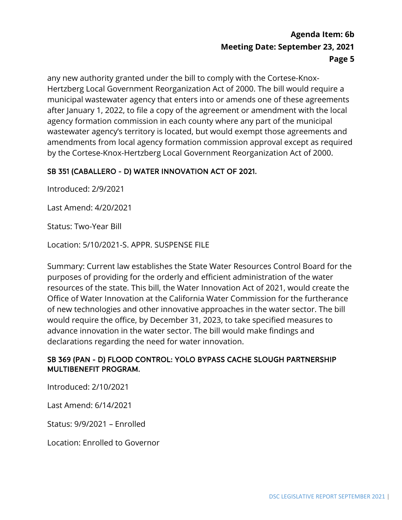any new authority granted under the bill to comply with the Cortese-Knox-Hertzberg Local Government Reorganization Act of 2000. The bill would require a municipal wastewater agency that enters into or amends one of these agreements after January 1, 2022, to file a copy of the agreement or amendment with the local agency formation commission in each county where any part of the municipal wastewater agency's territory is located, but would exempt those agreements and amendments from local agency formation commission approval except as required by the Cortese-Knox-Hertzberg Local Government Reorganization Act of 2000.

### SB 351 (CABALLERO - D) WATER INNOVATION ACT OF 2021.

Introduced: 2/9/2021

Last Amend: 4/20/2021

Status: Two-Year Bill

Location: 5/10/2021-S. APPR. SUSPENSE FILE

Summary: Current law establishes the State Water Resources Control Board for the purposes of providing for the orderly and efficient administration of the water resources of the state. This bill, the Water Innovation Act of 2021, would create the Office of Water Innovation at the California Water Commission for the furtherance of new technologies and other innovative approaches in the water sector. The bill would require the office, by December 31, 2023, to take specified measures to advance innovation in the water sector. The bill would make findings and declarations regarding the need for water innovation.

#### SB 369 (PAN - D) FLOOD CONTROL: YOLO BYPASS CACHE SLOUGH PARTNERSHIP MULTIBENEFIT PROGRAM.

Introduced: 2/10/2021

Last Amend: 6/14/2021

Status: 9/9/2021 – Enrolled

Location: Enrolled to Governor